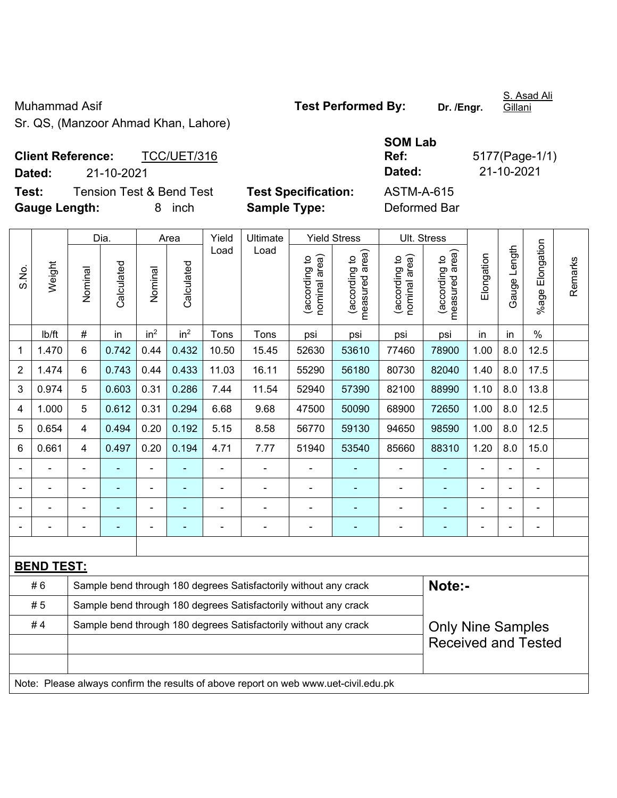## Muhammad Asif **Test Performed By:** Dr. /Engr.

S. Asad Ali Gillani

Sr. QS, (Manzoor Ahmad Khan, Lahore)

## **SOM Lab Ref:** 5177(Page-1/1)

**Client Reference:** TCC/UET/316 **Dated:** 21-10-2021 **Dated:** 21-10-2021 **Test:** Tension Test & Bend Test **Test Specification:** ASTM-A-615

**Gauge Length:** 8 inch **Sample Type:** Deformed Bar

|                |                                                                                     |                | Dia.                                                                                         |                          | Area                     | Yield<br>Ultimate |                                                                  | <b>Yield Stress</b>            |                                 |                                | Ult. Stress                     |                |              |                      |         |
|----------------|-------------------------------------------------------------------------------------|----------------|----------------------------------------------------------------------------------------------|--------------------------|--------------------------|-------------------|------------------------------------------------------------------|--------------------------------|---------------------------------|--------------------------------|---------------------------------|----------------|--------------|----------------------|---------|
| S.No.          | Weight                                                                              | Nominal        | Calculated                                                                                   | Nominal                  | Calculated               | Load              | Load                                                             | nominal area)<br>(according to | (according to<br>measured area) | nominal area)<br>(according to | measured area)<br>(according to | Elongation     | Gauge Length | Elongation<br>%age F | Remarks |
|                | lb/ft                                                                               | #              | in                                                                                           | in <sup>2</sup>          | in <sup>2</sup>          | Tons              | Tons                                                             | psi                            | psi                             | psi                            | psi                             | in             | in           | $\frac{0}{0}$        |         |
| 1              | 1.470                                                                               | 6              | 0.742                                                                                        | 0.44                     | 0.432                    | 10.50             | 15.45                                                            | 52630                          | 53610                           | 77460                          | 78900                           | 1.00           | 8.0          | 12.5                 |         |
| $\overline{2}$ | 1.474                                                                               | 6              | 0.743                                                                                        | 0.44                     | 0.433                    | 11.03             | 16.11                                                            | 55290                          | 56180                           | 80730                          | 82040                           | 1.40           | 8.0          | 17.5                 |         |
| 3              | 0.974                                                                               | 5              | 0.603                                                                                        | 0.31                     | 0.286                    | 7.44              | 11.54                                                            | 52940                          | 57390                           | 82100                          | 88990                           | 1.10           | 8.0          | 13.8                 |         |
| 4              | 1.000                                                                               | 5              | 0.612                                                                                        | 0.31                     | 0.294                    | 6.68              | 9.68                                                             | 47500                          | 50090                           | 68900                          | 72650                           | 1.00           | 8.0          | 12.5                 |         |
| 5              | 0.654                                                                               | 4              | 0.494                                                                                        | 0.20                     | 0.192                    | 5.15              | 8.58                                                             | 56770                          | 59130                           | 94650                          | 98590                           | 1.00           | 8.0          | 12.5                 |         |
| 6              | 0.661                                                                               | 4              | 0.497                                                                                        | 0.20                     | 0.194                    | 4.71              | 7.77                                                             | 51940                          | 53540                           | 85660                          | 88310                           | 1.20           | 8.0          | 15.0                 |         |
|                |                                                                                     | $\blacksquare$ | ÷                                                                                            | ÷,                       |                          | ÷,                | ÷,                                                               |                                |                                 | ÷,                             | $\frac{1}{2}$                   |                |              | ä,                   |         |
|                |                                                                                     |                |                                                                                              | ä,                       |                          |                   | ä,                                                               | $\blacksquare$                 |                                 | ä,                             | $\blacksquare$                  |                |              | $\blacksquare$       |         |
|                |                                                                                     |                |                                                                                              |                          |                          |                   | ÷                                                                |                                |                                 | ۰                              |                                 |                |              |                      |         |
| $\overline{a}$ |                                                                                     |                |                                                                                              | $\overline{\phantom{0}}$ | $\overline{\phantom{0}}$ | $\blacksquare$    | $\overline{a}$                                                   | $\overline{\phantom{0}}$       | $\overline{\phantom{a}}$        | $\qquad \qquad \blacksquare$   | $\blacksquare$                  | $\blacksquare$ |              | $\overline{a}$       |         |
|                |                                                                                     |                |                                                                                              |                          |                          |                   |                                                                  |                                |                                 |                                |                                 |                |              |                      |         |
|                | <b>BEND TEST:</b>                                                                   |                |                                                                                              |                          |                          |                   |                                                                  |                                |                                 |                                |                                 |                |              |                      |         |
|                | #6                                                                                  |                |                                                                                              |                          |                          |                   | Sample bend through 180 degrees Satisfactorily without any crack |                                |                                 |                                | Note:-                          |                |              |                      |         |
|                | #5                                                                                  |                |                                                                                              |                          |                          |                   | Sample bend through 180 degrees Satisfactorily without any crack |                                |                                 |                                |                                 |                |              |                      |         |
|                | #4                                                                                  |                | Sample bend through 180 degrees Satisfactorily without any crack<br><b>Only Nine Samples</b> |                          |                          |                   |                                                                  |                                |                                 |                                |                                 |                |              |                      |         |
|                |                                                                                     |                |                                                                                              |                          |                          |                   |                                                                  |                                |                                 |                                | <b>Received and Tested</b>      |                |              |                      |         |
|                |                                                                                     |                |                                                                                              |                          |                          |                   |                                                                  |                                |                                 |                                |                                 |                |              |                      |         |
|                | Note: Please always confirm the results of above report on web www.uet-civil.edu.pk |                |                                                                                              |                          |                          |                   |                                                                  |                                |                                 |                                |                                 |                |              |                      |         |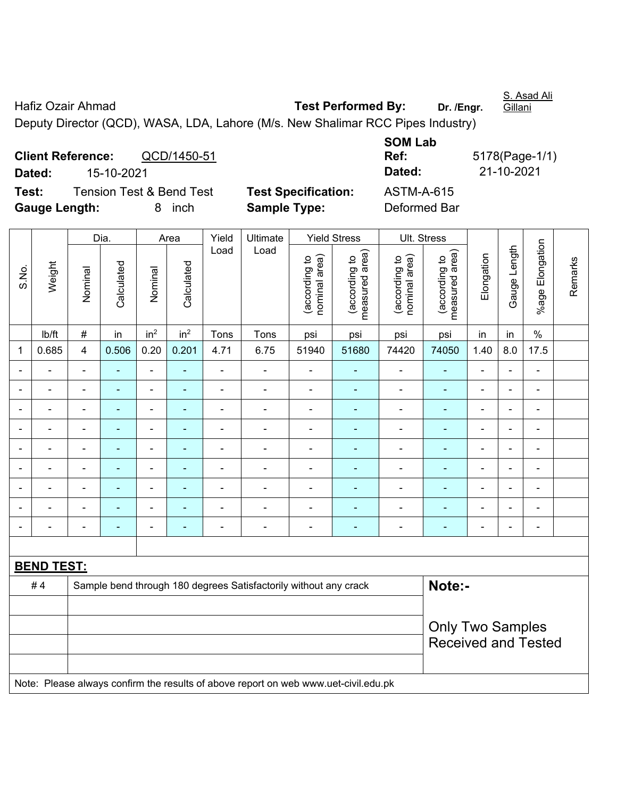Hafiz Ozair Ahmad **Test Performed By:** Dr. /Engr. Gillani

Deputy Director (QCD), WASA, LDA, Lahore (M/s. New Shalimar RCC Pipes Industry)

**Client Reference:** QCD/1450-51 **Dated:** 15-10-2021 **Dated:** 21-10-2021 **Test:** Tension Test & Bend Test **Test Specification:** ASTM-A-615 **Gauge Length:** 8 inch **Sample Type:** Deformed Bar

**SOM Lab Ref:** 5178(Page-1/1)

|                          |                                                                                     |                          | Dia.                     |                              | Area            | Yield | Ultimate                                                         |                                | <b>Yield Stress</b>                         | Ult. Stress                    |                                 |                |                          |                 |         |
|--------------------------|-------------------------------------------------------------------------------------|--------------------------|--------------------------|------------------------------|-----------------|-------|------------------------------------------------------------------|--------------------------------|---------------------------------------------|--------------------------------|---------------------------------|----------------|--------------------------|-----------------|---------|
| S.No.                    | Weight                                                                              | Nominal                  | Calculated               | Nominal                      | Calculated      | Load  | Load                                                             | nominal area)<br>(according to | (according to<br>neasured area)<br>measured | nominal area)<br>(according to | (according to<br>measured area) | Elongation     | Gauge Length             | %age Elongation | Remarks |
|                          | lb/ft                                                                               | $\#$                     | in                       | in <sup>2</sup>              | in <sup>2</sup> | Tons  | Tons                                                             | psi                            | psi                                         | psi                            | psi                             | in             | in                       | $\%$            |         |
| $\mathbf{1}$             | 0.685                                                                               | 4                        | 0.506                    | 0.20                         | 0.201           | 4.71  | 6.75                                                             | 51940                          | 51680                                       | 74420                          | 74050                           | 1.40           | 8.0                      | 17.5            |         |
|                          |                                                                                     | $\blacksquare$           | $\blacksquare$           | $\overline{a}$               |                 | L,    | ÷.                                                               | $\blacksquare$                 |                                             | $\blacksquare$                 | $\blacksquare$                  | $\blacksquare$ |                          | $\blacksquare$  |         |
|                          |                                                                                     | $\overline{\phantom{0}}$ |                          | ÷                            |                 | ÷     | $\blacksquare$                                                   | $\blacksquare$                 |                                             | ۰                              | ٠                               |                |                          | $\blacksquare$  |         |
|                          |                                                                                     |                          | $\overline{\phantom{0}}$ | ÷                            |                 | ÷     | $\overline{a}$                                                   | $\blacksquare$                 | ٠                                           | $\overline{a}$                 | ٠                               | $\overline{a}$ |                          | $\blacksquare$  |         |
| $\blacksquare$           |                                                                                     | $\blacksquare$           | $\blacksquare$           | $\blacksquare$               | $\blacksquare$  | ÷     | $\blacksquare$                                                   | $\blacksquare$                 | $\blacksquare$                              | $\overline{\phantom{a}}$       | $\blacksquare$                  | $\blacksquare$ | $\overline{\phantom{0}}$ | $\blacksquare$  |         |
| $\overline{\phantom{a}}$ | ۰                                                                                   | $\overline{\phantom{a}}$ | ä,                       | $\qquad \qquad \blacksquare$ | $\blacksquare$  | ÷     | $\frac{1}{2}$                                                    | ä,                             | $\blacksquare$                              | $\overline{\phantom{a}}$       | $\blacksquare$                  | $\blacksquare$ | ÷                        | $\blacksquare$  |         |
| $\blacksquare$           | ۳                                                                                   | $\blacksquare$           | $\blacksquare$           | ÷,                           | $\blacksquare$  | ä,    | $\overline{\phantom{a}}$                                         | $\blacksquare$                 | $\blacksquare$                              | $\blacksquare$                 | $\blacksquare$                  | $\blacksquare$ |                          | $\blacksquare$  |         |
|                          |                                                                                     | $\blacksquare$           | $\blacksquare$           | $\overline{\phantom{a}}$     |                 | ÷     | ÷.                                                               | $\blacksquare$                 |                                             | $\blacksquare$                 | ÷,                              |                |                          | $\blacksquare$  |         |
|                          |                                                                                     |                          |                          | $\overline{\phantom{a}}$     |                 |       | ۳                                                                | $\overline{a}$                 |                                             | $\blacksquare$                 | $\overline{\phantom{0}}$        |                |                          | $\sim$          |         |
|                          |                                                                                     | $\overline{\phantom{0}}$ |                          |                              | ٠               | ÷     | $\overline{a}$                                                   | ٠                              |                                             | ۰                              | ۰                               |                |                          | $\blacksquare$  |         |
|                          |                                                                                     |                          |                          |                              |                 |       |                                                                  |                                |                                             |                                |                                 |                |                          |                 |         |
|                          | <b>BEND TEST:</b>                                                                   |                          |                          |                              |                 |       |                                                                  |                                |                                             |                                |                                 |                |                          |                 |         |
|                          | #4                                                                                  |                          |                          |                              |                 |       | Sample bend through 180 degrees Satisfactorily without any crack |                                |                                             |                                | Note:-                          |                |                          |                 |         |
|                          |                                                                                     |                          |                          |                              |                 |       |                                                                  |                                |                                             |                                |                                 |                |                          |                 |         |
|                          |                                                                                     | <b>Only Two Samples</b>  |                          |                              |                 |       |                                                                  |                                |                                             |                                |                                 |                |                          |                 |         |
|                          |                                                                                     |                          |                          |                              |                 |       |                                                                  |                                |                                             |                                | <b>Received and Tested</b>      |                |                          |                 |         |
|                          |                                                                                     |                          |                          |                              |                 |       |                                                                  |                                |                                             |                                |                                 |                |                          |                 |         |
|                          | Note: Please always confirm the results of above report on web www.uet-civil.edu.pk |                          |                          |                              |                 |       |                                                                  |                                |                                             |                                |                                 |                |                          |                 |         |

S. Asad Ali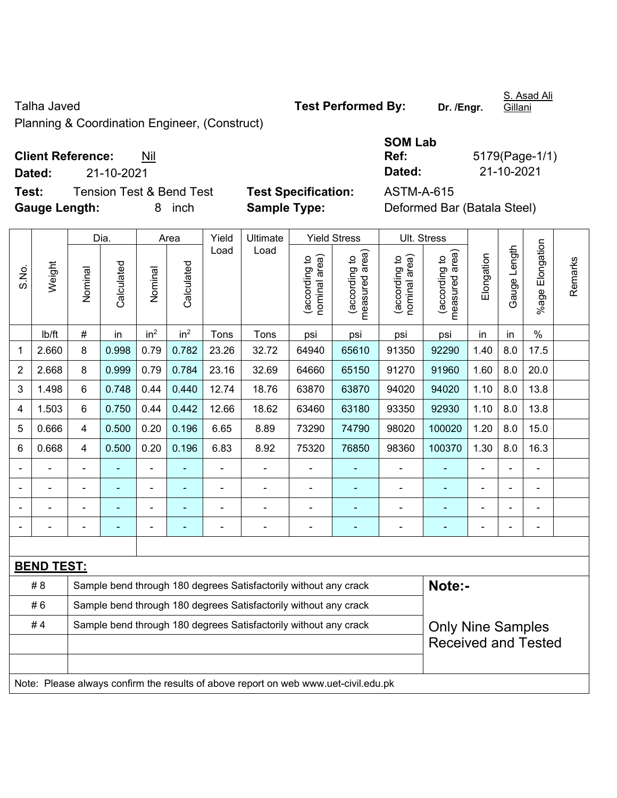Planning & Coordination Engineer, (Construct)

**Client Reference:** Nil

**Dated:** 21-10-2021 **Dated:** 21-10-2021

**Test:** Tension Test & Bend Test **Test Specification:** ASTM-A-615 **Gauge Length:** 8 inch **Sample Type:** Deformed Bar (Batala Steel)

|  | <b>Test Specificatio</b> |  |
|--|--------------------------|--|
|  | <b>Sample Type:</b>      |  |

| <b>SOM Lab</b> |       |
|----------------|-------|
| - -            | - - - |

**Ref:** 5179(Page-1/1)

|                |                                                                                     |                                                                                              | Dia.           |                 | Area            | Yield                    | Ultimate                                                         |                                | <b>Yield Stress</b>             |                                | Ult. Stress                     |                |                |                          |         |
|----------------|-------------------------------------------------------------------------------------|----------------------------------------------------------------------------------------------|----------------|-----------------|-----------------|--------------------------|------------------------------------------------------------------|--------------------------------|---------------------------------|--------------------------------|---------------------------------|----------------|----------------|--------------------------|---------|
| S.No.          | Weight                                                                              | Nominal                                                                                      | Calculated     | Nominal         | Calculated      | Load                     | Load                                                             | nominal area)<br>(according to | (according to<br>measured area) | (according to<br>nominal area) | measured area)<br>(according to | Elongation     | Gauge Length   | Elongation<br>%age l     | Remarks |
|                | lb/ft                                                                               | $\#$                                                                                         | in             | in <sup>2</sup> | in <sup>2</sup> | Tons                     | Tons                                                             | psi                            | psi                             | psi                            | psi                             | in             | in             | $\%$                     |         |
| 1              | 2.660                                                                               | 8                                                                                            | 0.998          | 0.79            | 0.782           | 23.26                    | 32.72                                                            | 64940                          | 65610                           | 91350                          | 92290                           | 1.40           | 8.0            | 17.5                     |         |
| $\overline{2}$ | 2.668                                                                               | 8                                                                                            | 0.999          | 0.79            | 0.784           | 23.16                    | 32.69                                                            | 64660                          | 65150                           | 91270                          | 91960                           | 1.60           | 8.0            | 20.0                     |         |
| 3              | 1.498                                                                               | 6                                                                                            | 0.748          | 0.44            | 0.440           | 12.74                    | 18.76                                                            | 63870                          | 63870                           | 94020                          | 94020                           | 1.10           | 8.0            | 13.8                     |         |
| 4              | 1.503                                                                               | 6                                                                                            | 0.750          | 0.44            | 0.442           | 12.66                    | 18.62                                                            | 63460                          | 63180                           | 93350                          | 92930                           | 1.10           | 8.0            | 13.8                     |         |
| 5              | 0.666                                                                               | $\overline{4}$                                                                               | 0.500          | 0.20            | 0.196           | 6.65                     | 8.89                                                             | 73290                          | 74790                           | 98020                          | 100020                          | 1.20           | 8.0            | 15.0                     |         |
| 6              | 0.668                                                                               | $\overline{4}$                                                                               | 0.500          | 0.20            | 0.196           | 6.83                     | 8.92                                                             | 75320                          | 76850                           | 98360                          | 100370                          | 1.30           | 8.0            | 16.3                     |         |
|                |                                                                                     | $\blacksquare$                                                                               | ä,             | $\frac{1}{2}$   | ÷,              | $\overline{\phantom{0}}$ | ÷,                                                               | ä,                             | ÷                               | $\frac{1}{2}$                  | ÷,                              | $\blacksquare$ | $\blacksquare$ | $\frac{1}{2}$            |         |
|                | $\blacksquare$                                                                      | $\blacksquare$                                                                               | $\blacksquare$ | $\blacksquare$  | $\blacksquare$  | $\blacksquare$           | $\frac{1}{2}$                                                    | $\blacksquare$                 | $\blacksquare$                  | $\overline{\phantom{a}}$       | ÷,                              | $\blacksquare$ | $\blacksquare$ | $\overline{\phantom{a}}$ |         |
|                |                                                                                     |                                                                                              |                | $\blacksquare$  |                 |                          |                                                                  |                                |                                 |                                |                                 |                | ä,             |                          |         |
|                |                                                                                     |                                                                                              |                |                 |                 |                          | ÷.                                                               | $\blacksquare$                 | ÷                               |                                | $\blacksquare$                  |                | ä,             | $\overline{a}$           |         |
|                |                                                                                     |                                                                                              |                |                 |                 |                          |                                                                  |                                |                                 |                                |                                 |                |                |                          |         |
|                | <b>BEND TEST:</b>                                                                   |                                                                                              |                |                 |                 |                          |                                                                  |                                |                                 |                                |                                 |                |                |                          |         |
|                | #8                                                                                  |                                                                                              |                |                 |                 |                          | Sample bend through 180 degrees Satisfactorily without any crack |                                |                                 |                                | Note:-                          |                |                |                          |         |
|                | #6                                                                                  |                                                                                              |                |                 |                 |                          | Sample bend through 180 degrees Satisfactorily without any crack |                                |                                 |                                |                                 |                |                |                          |         |
|                | #4                                                                                  | Sample bend through 180 degrees Satisfactorily without any crack<br><b>Only Nine Samples</b> |                |                 |                 |                          |                                                                  |                                |                                 |                                |                                 |                |                |                          |         |
|                |                                                                                     | <b>Received and Tested</b>                                                                   |                |                 |                 |                          |                                                                  |                                |                                 |                                |                                 |                |                |                          |         |
|                |                                                                                     |                                                                                              |                |                 |                 |                          |                                                                  |                                |                                 |                                |                                 |                |                |                          |         |
|                | Note: Please always confirm the results of above report on web www.uet-civil.edu.pk |                                                                                              |                |                 |                 |                          |                                                                  |                                |                                 |                                |                                 |                |                |                          |         |

S. Asad Ali Gillani

Talha Javed **Test Performed By: Dr. /Engr.**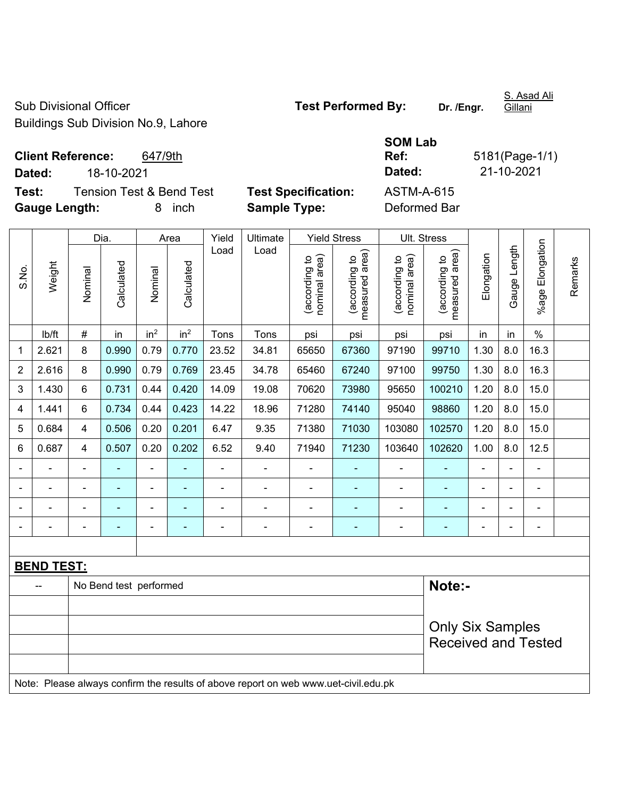Sub Divisional Officer **Test Performed By:** Dr. /Engr. Buildings Sub Division No.9, Lahore

S. Asad Ali

**Client Reference:** 647/9th **Dated:** 18-10-2021 **Dated:** 21-10-2021 **Test:** Tension Test & Bend Test **Test Specification:** ASTM-A-615

**Gauge Length:** 8 inch **Sample Type:** Deformed Bar

**SOM Lab Ref:** 5181(Page-1/1)

|                |                                                                                     |                         | Dia.                   |                 | Area                     | Yield                    | Ultimate       |                                | <b>Yield Stress</b>                         | Ult. Stress                    |                                 |                |                |                           |         |
|----------------|-------------------------------------------------------------------------------------|-------------------------|------------------------|-----------------|--------------------------|--------------------------|----------------|--------------------------------|---------------------------------------------|--------------------------------|---------------------------------|----------------|----------------|---------------------------|---------|
| S.No.          | Weight                                                                              | Nominal                 | Calculated             | Nominal         | Calculated               | Load                     | Load           | nominal area)<br>(according to | (according to<br>measured area)<br>measured | nominal area)<br>(according to | (according to<br>measured area) | Elongation     | Gauge Length   | Elongation<br>$%$ age $I$ | Remarks |
|                | lb/ft                                                                               | $\#$                    | in                     | in <sup>2</sup> | in <sup>2</sup>          | Tons                     | Tons           | psi                            | psi                                         | psi                            | psi                             | in             | in             | $\%$                      |         |
| 1              | 2.621                                                                               | 8                       | 0.990                  | 0.79            | 0.770                    | 23.52                    | 34.81          | 65650                          | 67360                                       | 97190                          | 99710                           | 1.30           | 8.0            | 16.3                      |         |
| $\overline{2}$ | 2.616                                                                               | 8                       | 0.990                  | 0.79            | 0.769                    | 23.45                    | 34.78          | 65460                          | 67240                                       | 97100                          | 99750                           | 1.30           | 8.0            | 16.3                      |         |
| 3              | 1.430                                                                               | 6                       | 0.731                  | 0.44            | 0.420                    | 14.09                    | 19.08          | 70620                          | 73980                                       | 95650                          | 100210                          | 1.20           | 8.0            | 15.0                      |         |
| 4              | 1.441                                                                               | 6                       | 0.734                  | 0.44            | 0.423                    | 14.22                    | 18.96          | 71280                          | 74140                                       | 95040                          | 98860                           | 1.20           | 8.0            | 15.0                      |         |
| 5              | 0.684                                                                               | $\overline{\mathbf{4}}$ | 0.506                  | 0.20            | 0.201                    | 6.47                     | 9.35           | 71380                          | 71030                                       | 103080                         | 102570                          | 1.20           | 8.0            | 15.0                      |         |
| 6              | 0.687                                                                               | $\overline{\mathbf{4}}$ | 0.507                  | 0.20            | 0.202                    | 6.52                     | 9.40           | 71940                          | 71230                                       | 103640                         | 102620                          | 1.00           | 8.0            | 12.5                      |         |
|                |                                                                                     | $\blacksquare$          |                        | ä,              |                          | $\blacksquare$           | ä,             |                                |                                             | ä,                             | ۰                               |                |                | ÷                         |         |
|                |                                                                                     |                         |                        | $\overline{a}$  |                          | $\overline{\phantom{0}}$ | $\overline{a}$ |                                |                                             |                                | $\overline{\phantom{0}}$        |                |                |                           |         |
|                |                                                                                     |                         |                        | $\blacksquare$  |                          |                          | $\blacksquare$ | $\blacksquare$                 |                                             | $\blacksquare$                 | $\blacksquare$                  |                |                |                           |         |
|                |                                                                                     | ۰                       | $\blacksquare$         | $\blacksquare$  | $\overline{\phantom{0}}$ | $\blacksquare$           | ÷              | $\blacksquare$                 | $\overline{a}$                              |                                | ۰                               | $\blacksquare$ | $\overline{a}$ | $\overline{\phantom{a}}$  |         |
|                |                                                                                     |                         |                        |                 |                          |                          |                |                                |                                             |                                |                                 |                |                |                           |         |
|                | <b>BEND TEST:</b>                                                                   |                         |                        |                 |                          |                          |                |                                |                                             |                                |                                 |                |                |                           |         |
|                |                                                                                     |                         | No Bend test performed |                 |                          |                          |                |                                |                                             |                                | Note:-                          |                |                |                           |         |
|                |                                                                                     |                         |                        |                 |                          |                          |                |                                |                                             |                                |                                 |                |                |                           |         |
|                |                                                                                     |                         |                        |                 |                          |                          |                |                                |                                             |                                | <b>Only Six Samples</b>         |                |                |                           |         |
|                |                                                                                     |                         |                        |                 |                          |                          |                |                                |                                             |                                | <b>Received and Tested</b>      |                |                |                           |         |
|                |                                                                                     |                         |                        |                 |                          |                          |                |                                |                                             |                                |                                 |                |                |                           |         |
|                | Note: Please always confirm the results of above report on web www.uet-civil.edu.pk |                         |                        |                 |                          |                          |                |                                |                                             |                                |                                 |                |                |                           |         |

Gillani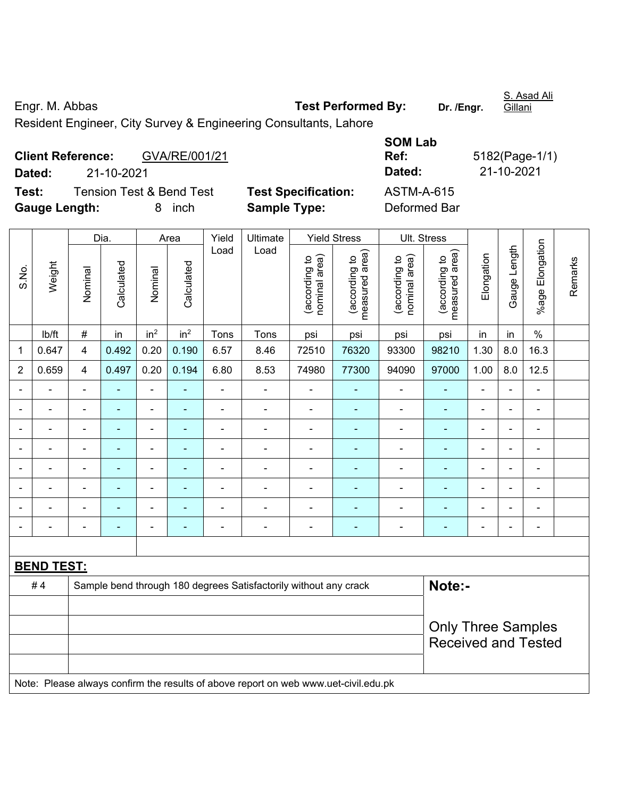Engr. M. Abbas **Test Performed By: Dr. /Engr.**  Gillani Resident Engineer, City Survey & Engineering Consultants, Lahore

|                      | <b>Client Reference:</b> | GVA/RE/001/21                       |                            | Ref:         | 5182(Page-1/ |
|----------------------|--------------------------|-------------------------------------|----------------------------|--------------|--------------|
| Dated:               | 21-10-2021               |                                     |                            | Dated:       | 21-10-2021   |
| Test:                |                          | <b>Tension Test &amp; Bend Test</b> | <b>Test Specification:</b> | ASTM-A-615   |              |
| <b>Gauge Length:</b> |                          | inch<br>8.                          | <b>Sample Type:</b>        | Deformed Bar |              |

| <b>Test Specification:</b> |
|----------------------------|
| <b>Sample Type:</b>        |

| <b>SOM Lab</b> |                |
|----------------|----------------|
| Ref:           | 5182(Page-1/1) |
| Dated:         | 21-10-2021     |
| ASTM-A-615     |                |
| Deformed Bar   |                |

|                          |                          |                          | Dia.           |                          | Area            | Yield          | Ultimate                                                                            |                                | <b>Yield Stress</b>             |                                                         | Ult. Stress                     |                |                          |                 |         |
|--------------------------|--------------------------|--------------------------|----------------|--------------------------|-----------------|----------------|-------------------------------------------------------------------------------------|--------------------------------|---------------------------------|---------------------------------------------------------|---------------------------------|----------------|--------------------------|-----------------|---------|
| S.No.                    | Weight                   | Nominal                  | Calculated     | Nominal                  | Calculated      | Load           | Load                                                                                | nominal area)<br>(according to | (according to<br>measured area) | nominal area)<br>(according to                          | (according to<br>measured area) | Elongation     | Gauge Length             | %age Elongation | Remarks |
|                          | lb/ft                    | $\#$                     | in             | in <sup>2</sup>          | in <sup>2</sup> | Tons           | Tons                                                                                | psi                            | psi                             | psi                                                     | psi                             | in             | in                       | $\%$            |         |
| 1                        | 0.647                    | $\overline{\mathbf{4}}$  | 0.492          | 0.20                     | 0.190           | 6.57           | 8.46                                                                                | 72510                          | 76320                           | 93300                                                   | 98210                           | 1.30           | 8.0                      | 16.3            |         |
| $\overline{c}$           | 0.659                    | 4                        | 0.497          | 0.20                     | 0.194           | 6.80           | 8.53                                                                                | 74980                          | 77300                           | 94090                                                   | 97000                           | 1.00           | 8.0                      | 12.5            |         |
| $\blacksquare$           | $\blacksquare$           | $\blacksquare$           | $\blacksquare$ | $\blacksquare$           | ä,              | $\blacksquare$ | $\blacksquare$                                                                      | $\blacksquare$                 | ÷                               | ۰                                                       | ÷,                              | $\blacksquare$ | $\blacksquare$           | $\blacksquare$  |         |
| $\blacksquare$           | $\overline{\phantom{0}}$ | $\overline{\phantom{a}}$ | $\blacksquare$ | $\blacksquare$           | $\sim$          | $\blacksquare$ | $\overline{\phantom{a}}$                                                            | $\overline{\phantom{a}}$       | $\overline{a}$                  | $\qquad \qquad \blacksquare$                            | $\blacksquare$                  | $\blacksquare$ | $\blacksquare$           | $\blacksquare$  |         |
| $\blacksquare$           | $\blacksquare$           | $\blacksquare$           | $\blacksquare$ | $\blacksquare$           | $\blacksquare$  | $\blacksquare$ | $\blacksquare$                                                                      | $\blacksquare$                 | $\blacksquare$                  | $\qquad \qquad \blacksquare$                            | $\blacksquare$                  | $\blacksquare$ | $\blacksquare$           | $\blacksquare$  |         |
| $\overline{\phantom{0}}$ | $\overline{\phantom{0}}$ | -                        | $\blacksquare$ | $\overline{\phantom{a}}$ | ٠               | $\blacksquare$ | $\overline{\phantom{0}}$                                                            | $\blacksquare$                 | $\overline{a}$                  | ۰                                                       | ÷,                              | $\blacksquare$ | $\overline{\phantom{0}}$ | $\blacksquare$  |         |
|                          |                          | ÷                        | ÷              | $\blacksquare$           |                 | $\blacksquare$ | $\overline{\phantom{a}}$                                                            | $\blacksquare$                 | $\blacksquare$                  | $\blacksquare$                                          | $\blacksquare$                  |                | Ē,                       | $\blacksquare$  |         |
|                          |                          |                          |                | $\overline{\phantom{0}}$ |                 | Ē,             | ÷                                                                                   | $\blacksquare$                 |                                 | $\overline{a}$                                          |                                 |                | $\blacksquare$           |                 |         |
| $\blacksquare$           |                          |                          |                |                          |                 |                |                                                                                     | $\overline{\phantom{0}}$       |                                 | $\overline{a}$                                          | Ē.                              |                | ۰                        | $\blacksquare$  |         |
| $\blacksquare$           | $\blacksquare$           | $\blacksquare$           | $\blacksquare$ | $\overline{\phantom{a}}$ | $\blacksquare$  | $\blacksquare$ | $\blacksquare$                                                                      | $\overline{a}$                 | ÷                               | $\overline{\phantom{a}}$                                | ¢                               | $\blacksquare$ | ÷.                       | $\blacksquare$  |         |
|                          |                          |                          |                |                          |                 |                |                                                                                     |                                |                                 |                                                         |                                 |                |                          |                 |         |
|                          | <b>BEND TEST:</b>        |                          |                |                          |                 |                |                                                                                     |                                |                                 |                                                         |                                 |                |                          |                 |         |
|                          | #4                       |                          |                |                          |                 |                | Sample bend through 180 degrees Satisfactorily without any crack                    |                                |                                 |                                                         | Note:-                          |                |                          |                 |         |
|                          |                          |                          |                |                          |                 |                |                                                                                     |                                |                                 |                                                         |                                 |                |                          |                 |         |
|                          |                          |                          |                |                          |                 |                |                                                                                     |                                |                                 | <b>Only Three Samples</b><br><b>Received and Tested</b> |                                 |                |                          |                 |         |
|                          |                          |                          |                |                          |                 |                | Note: Please always confirm the results of above report on web www.uet-civil.edu.pk |                                |                                 |                                                         |                                 |                |                          |                 |         |

S. Asad Ali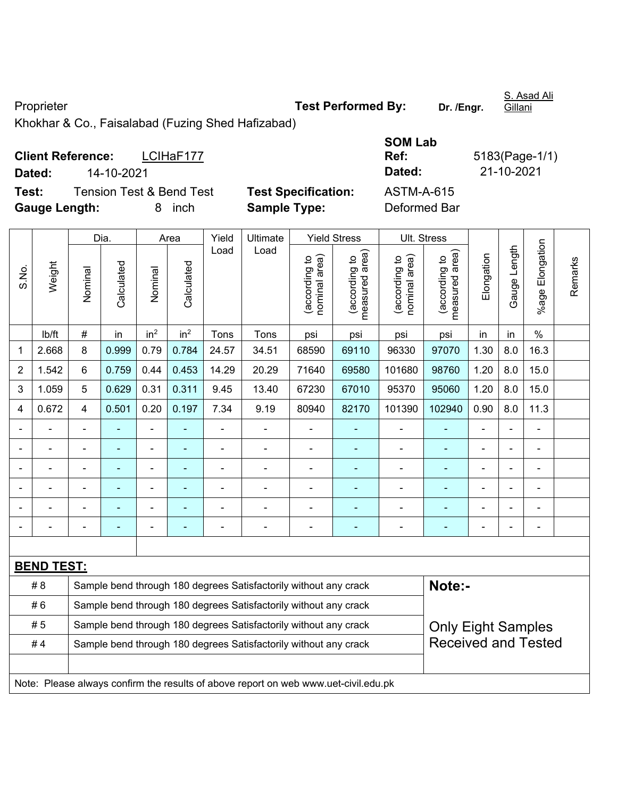Proprieter **Test Performed By:** Dr. /Engr.

S. Asad Ali Gillani

Khokhar & Co., Faisalabad (Fuzing Shed Hafizabad)

| <b>Client Reference:</b> |            | LCIHaF177                           |                            | Ref:         | 5183(Page-1/ |
|--------------------------|------------|-------------------------------------|----------------------------|--------------|--------------|
| Dated:                   | 14-10-2021 |                                     |                            | Dated:       | 21-10-2021   |
| Test:                    |            | <b>Tension Test &amp; Bend Test</b> | <b>Test Specification:</b> | ASTM-A-615   |              |
| <b>Gauge Length:</b>     |            | inch                                | <b>Sample Type:</b>        | Deformed Bar |              |

| <b>SOM Lab</b> |                |
|----------------|----------------|
| Ref:           | 5183(Page-1/1) |
| Dated:         | 21-10-2021     |
| ASTM-A-615     |                |
| Doformod Por   |                |

|                                                                                   | Weight                                                                              | Dia.                                                             |            | Area            |                 | Yield | Ultimate                 | <b>Yield Stress</b>            |                                 | Ult. Stress                    |                                                         |                |                |                           |         |
|-----------------------------------------------------------------------------------|-------------------------------------------------------------------------------------|------------------------------------------------------------------|------------|-----------------|-----------------|-------|--------------------------|--------------------------------|---------------------------------|--------------------------------|---------------------------------------------------------|----------------|----------------|---------------------------|---------|
| S.No.                                                                             |                                                                                     | Nominal                                                          | Calculated | Nominal         | Calculated      | Load  | Load                     | (according to<br>nominal area) | (according to<br>measured area) | nominal area)<br>(according to | (according to<br>measured area)                         | Elongation     | Gauge Length   | Elongation<br>$%$ age $ $ | Remarks |
|                                                                                   | lb/ft                                                                               | #                                                                | in         | in <sup>2</sup> | in <sup>2</sup> | Tons  | Tons                     | psi                            | psi                             | psi                            | psi                                                     | in             | in             | $\%$                      |         |
| 1                                                                                 | 2.668                                                                               | 8                                                                | 0.999      | 0.79            | 0.784           | 24.57 | 34.51                    | 68590                          | 69110                           | 96330                          | 97070                                                   | 1.30           | 8.0            | 16.3                      |         |
| $\overline{2}$                                                                    | 1.542                                                                               | 6                                                                | 0.759      | 0.44            | 0.453           | 14.29 | 20.29                    | 71640                          | 69580                           | 101680                         | 98760                                                   | 1.20           | 8.0            | 15.0                      |         |
| 3                                                                                 | 1.059                                                                               | 5                                                                | 0.629      | 0.31            | 0.311           | 9.45  | 13.40                    | 67230                          | 67010                           | 95370                          | 95060                                                   | 1.20           | 8.0            | 15.0                      |         |
| 4                                                                                 | 0.672                                                                               | 4                                                                | 0.501      | 0.20            | 0.197           | 7.34  | 9.19                     | 80940                          | 82170                           | 101390                         | 102940                                                  | 0.90           | 8.0            | 11.3                      |         |
|                                                                                   |                                                                                     | ÷,                                                               | ÷,         | ÷               |                 | L,    | $\overline{\phantom{0}}$ | ä,                             |                                 | ÷,                             | ÷,                                                      | ä,             |                | ä,                        |         |
|                                                                                   | $\blacksquare$                                                                      |                                                                  |            |                 |                 | ä,    | $\overline{\phantom{0}}$ | ä,                             |                                 | $\blacksquare$                 |                                                         |                |                | ä,                        |         |
|                                                                                   |                                                                                     |                                                                  |            |                 |                 |       | $\blacksquare$           | $\overline{\phantom{0}}$       | ۰                               | $\overline{\phantom{0}}$       | $\blacksquare$                                          | $\blacksquare$ |                | ۳                         |         |
|                                                                                   |                                                                                     |                                                                  |            |                 |                 |       |                          | $\overline{a}$                 |                                 |                                |                                                         |                |                | L,                        |         |
|                                                                                   | $\blacksquare$                                                                      | $\blacksquare$                                                   |            | $\blacksquare$  |                 |       | L.                       | $\blacksquare$                 | ۰                               | $\blacksquare$                 |                                                         | $\blacksquare$ |                | $\blacksquare$            |         |
|                                                                                   |                                                                                     | $\blacksquare$                                                   | ٠          | $\overline{a}$  | $\blacksquare$  | ٠     | $\overline{\phantom{0}}$ |                                | ۰                               | $\overline{\phantom{a}}$       | $\overline{\phantom{0}}$                                | $\blacksquare$ | $\blacksquare$ | ÷                         |         |
|                                                                                   |                                                                                     |                                                                  |            |                 |                 |       |                          |                                |                                 |                                |                                                         |                |                |                           |         |
|                                                                                   | <b>BEND TEST:</b>                                                                   |                                                                  |            |                 |                 |       |                          |                                |                                 |                                |                                                         |                |                |                           |         |
| Note:-<br># 8<br>Sample bend through 180 degrees Satisfactorily without any crack |                                                                                     |                                                                  |            |                 |                 |       |                          |                                |                                 |                                |                                                         |                |                |                           |         |
|                                                                                   | #6<br>Sample bend through 180 degrees Satisfactorily without any crack              |                                                                  |            |                 |                 |       |                          |                                |                                 |                                |                                                         |                |                |                           |         |
|                                                                                   | #5                                                                                  | Sample bend through 180 degrees Satisfactorily without any crack |            |                 |                 |       |                          |                                |                                 |                                | <b>Only Eight Samples</b><br><b>Received and Tested</b> |                |                |                           |         |
|                                                                                   | #4                                                                                  | Sample bend through 180 degrees Satisfactorily without any crack |            |                 |                 |       |                          |                                |                                 |                                |                                                         |                |                |                           |         |
|                                                                                   |                                                                                     |                                                                  |            |                 |                 |       |                          |                                |                                 |                                |                                                         |                |                |                           |         |
|                                                                                   | Note: Please always confirm the results of above report on web www.uet-civil.edu.pk |                                                                  |            |                 |                 |       |                          |                                |                                 |                                |                                                         |                |                |                           |         |